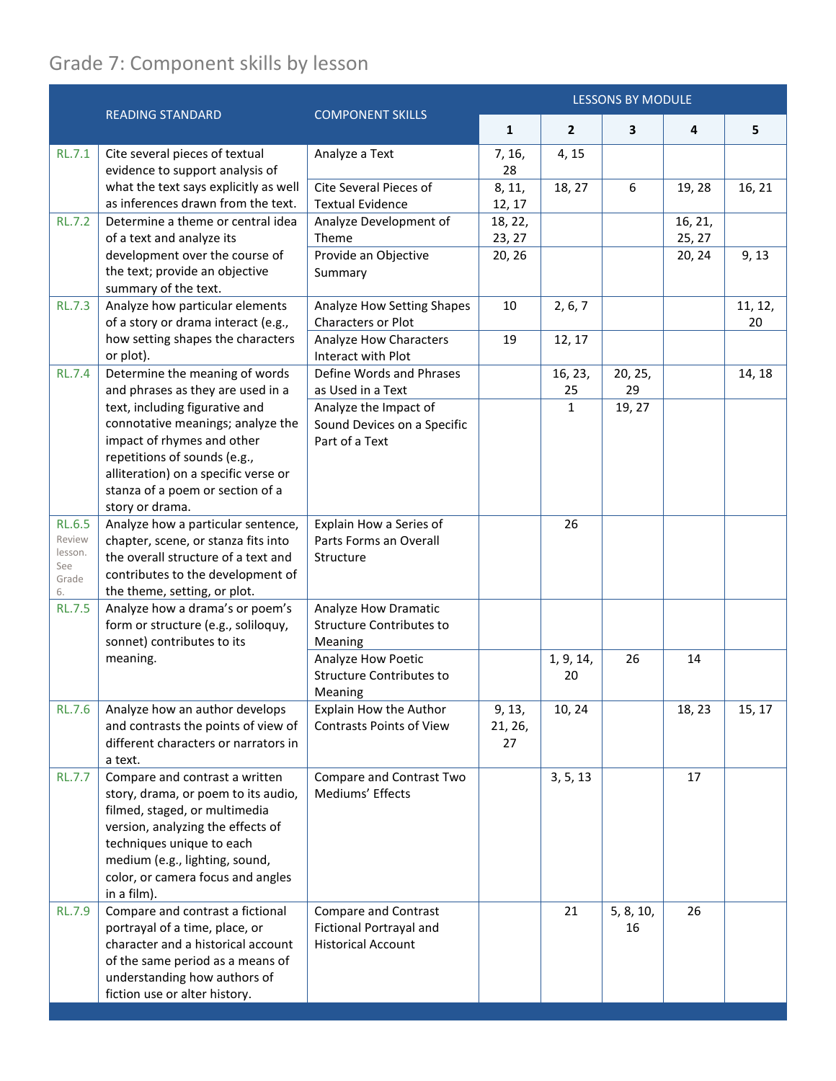## Grade 7: Component skills by lesson

|                                                          | <b>READING STANDARD</b>                                                                                                                                                                                                                                        | <b>COMPONENT SKILLS</b>                                                             | <b>LESSONS BY MODULE</b> |                 |                 |                   |               |
|----------------------------------------------------------|----------------------------------------------------------------------------------------------------------------------------------------------------------------------------------------------------------------------------------------------------------------|-------------------------------------------------------------------------------------|--------------------------|-----------------|-----------------|-------------------|---------------|
|                                                          |                                                                                                                                                                                                                                                                |                                                                                     | $\mathbf{1}$             | $\overline{2}$  | 3               | 4                 | 5             |
| <b>RL.7.1</b>                                            | Cite several pieces of textual<br>evidence to support analysis of                                                                                                                                                                                              | Analyze a Text                                                                      | 7, 16,<br>28             | 4, 15           |                 |                   |               |
|                                                          | what the text says explicitly as well<br>as inferences drawn from the text.                                                                                                                                                                                    | Cite Several Pieces of<br><b>Textual Evidence</b>                                   | 8, 11,<br>12, 17         | 18, 27          | 6               | 19, 28            | 16, 21        |
| <b>RL.7.2</b>                                            | Determine a theme or central idea<br>of a text and analyze its                                                                                                                                                                                                 | Analyze Development of<br>Theme                                                     | 18, 22,<br>23, 27        |                 |                 | 16, 21,<br>25, 27 |               |
|                                                          | development over the course of<br>the text; provide an objective<br>summary of the text.                                                                                                                                                                       | Provide an Objective<br>Summary                                                     | 20, 26                   |                 |                 | 20, 24            | 9, 13         |
| <b>RL.7.3</b>                                            | Analyze how particular elements<br>of a story or drama interact (e.g.,                                                                                                                                                                                         | Analyze How Setting Shapes<br>Characters or Plot                                    | 10                       | 2, 6, 7         |                 |                   | 11, 12,<br>20 |
|                                                          | how setting shapes the characters<br>or plot).                                                                                                                                                                                                                 | Analyze How Characters<br>Interact with Plot                                        | 19                       | 12, 17          |                 |                   |               |
| <b>RL.7.4</b>                                            | Determine the meaning of words<br>and phrases as they are used in a                                                                                                                                                                                            | Define Words and Phrases<br>as Used in a Text                                       |                          | 16, 23,<br>25   | 20, 25,<br>29   |                   | 14, 18        |
|                                                          | text, including figurative and<br>connotative meanings; analyze the<br>impact of rhymes and other<br>repetitions of sounds (e.g.,<br>alliteration) on a specific verse or<br>stanza of a poem or section of a<br>story or drama.                               | Analyze the Impact of<br>Sound Devices on a Specific<br>Part of a Text              |                          | $\mathbf{1}$    | 19, 27          |                   |               |
| <b>RL.6.5</b><br>Review<br>lesson.<br>See<br>Grade<br>6. | Analyze how a particular sentence,<br>chapter, scene, or stanza fits into<br>the overall structure of a text and<br>contributes to the development of<br>the theme, setting, or plot.                                                                          | Explain How a Series of<br>Parts Forms an Overall<br>Structure                      |                          | 26              |                 |                   |               |
| <b>RL.7.5</b>                                            | Analyze how a drama's or poem's<br>form or structure (e.g., soliloquy,<br>sonnet) contributes to its                                                                                                                                                           | Analyze How Dramatic<br><b>Structure Contributes to</b><br>Meaning                  |                          |                 |                 |                   |               |
|                                                          | meaning.                                                                                                                                                                                                                                                       | Analyze How Poetic<br><b>Structure Contributes to</b><br>Meaning                    |                          | 1, 9, 14,<br>20 | 26              | 14                |               |
| <b>RL.7.6</b>                                            | Analyze how an author develops<br>and contrasts the points of view of<br>different characters or narrators in<br>a text.                                                                                                                                       | Explain How the Author<br><b>Contrasts Points of View</b>                           | 9, 13,<br>21, 26,<br>27  | 10, 24          |                 | 18, 23            | 15, 17        |
| <b>RL.7.7</b>                                            | Compare and contrast a written<br>story, drama, or poem to its audio,<br>filmed, staged, or multimedia<br>version, analyzing the effects of<br>techniques unique to each<br>medium (e.g., lighting, sound,<br>color, or camera focus and angles<br>in a film). | Compare and Contrast Two<br>Mediums' Effects                                        |                          | 3, 5, 13        |                 | 17                |               |
| <b>RL.7.9</b>                                            | Compare and contrast a fictional<br>portrayal of a time, place, or<br>character and a historical account<br>of the same period as a means of<br>understanding how authors of<br>fiction use or alter history.                                                  | <b>Compare and Contrast</b><br>Fictional Portrayal and<br><b>Historical Account</b> |                          | 21              | 5, 8, 10,<br>16 | 26                |               |